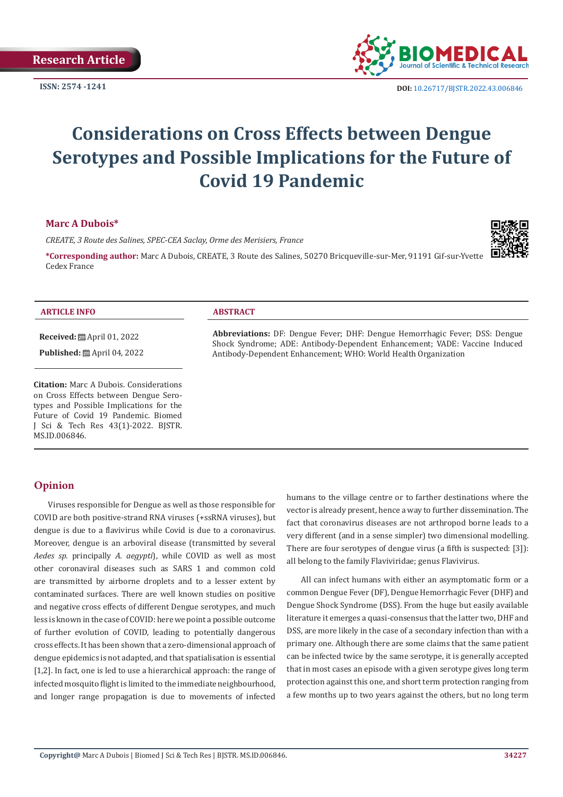

**ISSN:** 2574 -1241 **DOI:** [10.26717/BJSTR.2022.43.006846](https://dx.doi.org/10.26717/BJSTR.2022.43.006846)

# **Considerations on Cross Effects between Dengue Serotypes and Possible Implications for the Future of Covid 19 Pandemic**

### **Marc A Dubois\***

*CREATE, 3 Route des Salines, SPEC-CEA Saclay, Orme des Merisiers, France*

**\*Corresponding author:** Marc A Dubois, CREATE, 3 Route des Salines, 50270 Bricqueville-sur-Mer, 91191 Gif-sur-Yvette Cedex France



#### **ARTICLE INFO ABSTRACT**

**Received:** April 01, 2022

**Published:** ■ April 04, 2022

**Citation:** Marc A Dubois. Considerations on Cross Effects between Dengue Serotypes and Possible Implications for the Future of Covid 19 Pandemic. Biomed J Sci & Tech Res 43(1)-2022. BJSTR. MS.ID.006846.

**Abbreviations:** DF: Dengue Fever; DHF: Dengue Hemorrhagic Fever; DSS: Dengue Shock Syndrome; ADE: Antibody-Dependent Enhancement; VADE: Vaccine Induced Antibody-Dependent Enhancement; WHO: World Health Organization

# **Opinion**

Viruses responsible for Dengue as well as those responsible for COVID are both positive-strand RNA viruses (+ssRNA viruses), but dengue is due to a flavivirus while Covid is due to a coronavirus. Moreover, dengue is an arboviral disease (transmitted by several *Aedes sp.* principally *[A. aegypti](https://en.wikipedia.org/wiki/Aedes_aegypti)*), while COVID as well as most other coronaviral diseases such as SARS 1 and common cold are transmitted by airborne droplets and to a lesser extent by contaminated surfaces. There are well known studies on positive and negative cross effects of different Dengue serotypes, and much less is known in the case of COVID: here we point a possible outcome of further evolution of COVID, leading to potentially dangerous cross effects. It has been shown that a zero-dimensional approach of dengue epidemics is not adapted, and that spatialisation is essential [1,2]. In fact, one is led to use a hierarchical approach: the range of infected mosquito flight is limited to the immediate neighbourhood, and longer range propagation is due to movements of infected

humans to the village centre or to farther destinations where the vector is already present, hence a way to further dissemination. The fact that coronavirus diseases are not arthropod borne leads to a very different (and in a sense simpler) two dimensional modelling. There are four serotypes of dengue virus (a fifth is suspected: [3]): all belong to the family Flaviviridae; genus Flavivirus.

All can infect humans with either an asymptomatic form or a common Dengue Fever (DF), Dengue Hemorrhagic Fever (DHF) and Dengue Shock Syndrome (DSS). From the huge but easily available literature it emerges a quasi-consensus that the latter two, DHF and DSS, are more likely in the case of a secondary infection than with a primary one. Although there are some claims that the same patient can be infected twice by the same serotype, it is generally accepted that in most cases an episode with a given serotype gives long term protection against this one, and short term protection ranging from a few months up to two years against the others, but no long term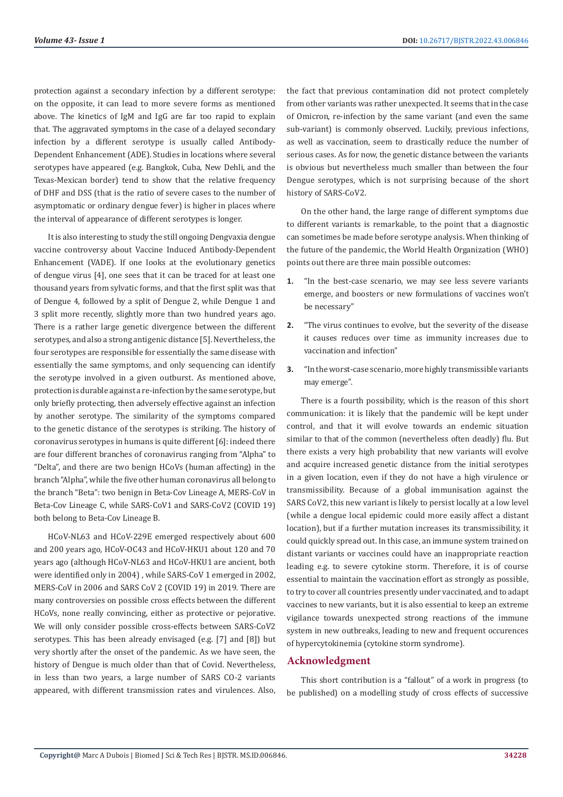protection against a secondary infection by a different serotype: on the opposite, it can lead to more severe forms as mentioned above. The kinetics of IgM and IgG are far too rapid to explain that. The aggravated symptoms in the case of a delayed secondary infection by a different serotype is usually called Antibody-Dependent Enhancement (ADE). Studies in locations where several serotypes have appeared (e.g. Bangkok, Cuba, New Dehli, and the Texas-Mexican border) tend to show that the relative frequency of DHF and DSS (that is the ratio of severe cases to the number of asymptomatic or ordinary dengue fever) is higher in places where the interval of appearance of different serotypes is longer.

It is also interesting to study the still ongoing Dengvaxia dengue vaccine controversy about Vaccine Induced Antibody-Dependent Enhancement (VADE). If one looks at the evolutionary genetics of dengue virus [4], one sees that it can be traced for at least one thousand years from sylvatic forms, and that the first split was that of Dengue 4, followed by a split of Dengue 2, while Dengue 1 and 3 split more recently, slightly more than two hundred years ago. There is a rather large genetic divergence between the different serotypes, and also a strong antigenic distance [5]. Nevertheless, the four serotypes are responsible for essentially the same disease with essentially the same symptoms, and only sequencing can identify the serotype involved in a given outburst. As mentioned above, protection is durable against a re-infection by the same serotype, but only briefly protecting, then adversely effective against an infection by another serotype. The similarity of the symptoms compared to the genetic distance of the serotypes is striking. The history of coronavirus serotypes in humans is quite different [6]: indeed there are four different branches of coronavirus ranging from "Alpha" to "Delta", and there are two benign HCoVs (human affecting) in the branch "Alpha", while the five other human coronavirus all belong to the branch "Beta": two benign in Beta-Cov Lineage A, MERS-CoV in Beta-Cov Lineage C, while SARS-CoV1 and SARS-CoV2 (COVID 19) both belong to Beta-Cov Lineage B.

HCoV-NL63 and HCoV-229E emerged respectively about 600 and 200 years ago, HCoV-OC43 and HCoV-HKU1 about 120 and 70 years ago (although HCoV-NL63 and HCoV-HKU1 are ancient, both were identified only in 2004) , while SARS-CoV 1 emerged in 2002, MERS-CoV in 2006 and SARS CoV 2 (COVID 19) in 2019. There are many controversies on possible cross effects between the different HCoVs, none really convincing, either as protective or pejorative. We will only consider possible cross-effects between SARS-CoV2 serotypes. This has been already envisaged (e.g. [7] and [8]) but very shortly after the onset of the pandemic. As we have seen, the history of Dengue is much older than that of Covid. Nevertheless, in less than two years, a large number of SARS CO-2 variants appeared, with different transmission rates and virulences. Also,

the fact that previous contamination did not protect completely from other variants was rather unexpected. It seems that in the case of Omicron, re-infection by the same variant (and even the same sub-variant) is commonly observed. Luckily, previous infections, as well as vaccination, seem to drastically reduce the number of serious cases. As for now, the genetic distance between the variants is obvious but nevertheless much smaller than between the four Dengue serotypes, which is not surprising because of the short history of SARS-CoV2.

On the other hand, the large range of different symptoms due to different variants is remarkable, to the point that a diagnostic can sometimes be made before serotype analysis. When thinking of the future of the pandemic, the World Health Organization (WHO) points out there are three main possible outcomes:

- **1.** "In the best-case scenario, we may see less severe variants emerge, and boosters or new formulations of vaccines won't be necessary"
- **2.** "The virus continues to evolve, but the severity of the disease it causes reduces over time as immunity increases due to vaccination and infection"
- **3.** "In the worst-case scenario, more highly transmissible variants may emerge".

There is a fourth possibility, which is the reason of this short communication: it is likely that the pandemic will be kept under control, and that it will evolve towards an endemic situation similar to that of the common (nevertheless often deadly) flu. But there exists a very high probability that new variants will evolve and acquire increased genetic distance from the initial serotypes in a given location, even if they do not have a high virulence or transmissibility. Because of a global immunisation against the SARS CoV2, this new variant is likely to persist locally at a low level (while a dengue local epidemic could more easily affect a distant location), but if a further mutation increases its transmissibility, it could quickly spread out. In this case, an immune system trained on distant variants or vaccines could have an inappropriate reaction leading e.g. to severe cytokine storm. Therefore, it is of course essential to maintain the vaccination effort as strongly as possible, to try to cover all countries presently under vaccinated, and to adapt vaccines to new variants, but it is also essential to keep an extreme vigilance towards unexpected strong reactions of the immune system in new outbreaks, leading to new and frequent occurences of hypercytokinemia (cytokine storm syndrome).

### **Acknowledgment**

This short contribution is a "fallout" of a work in progress (to be published) on a modelling study of cross effects of successive